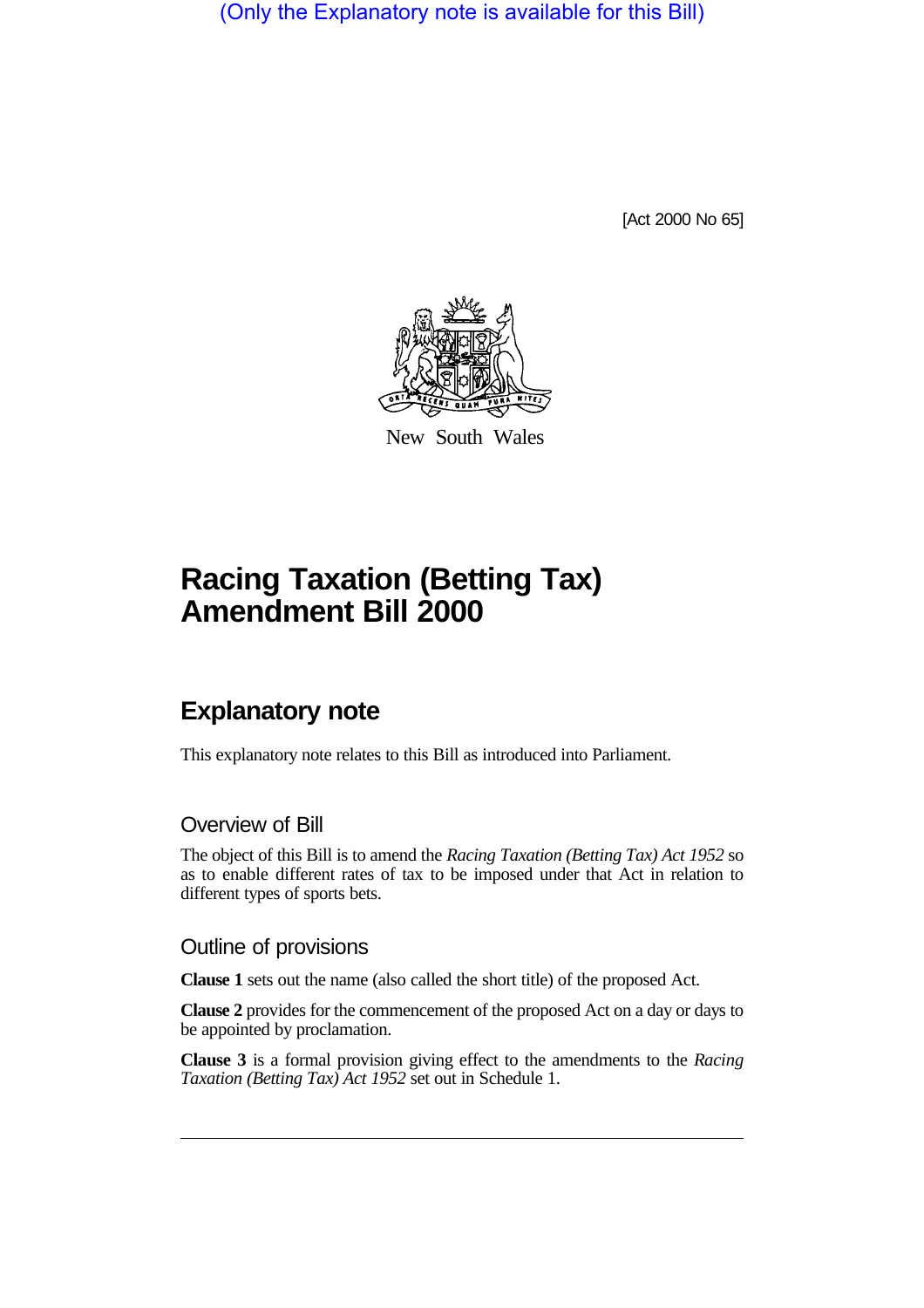(Only the Explanatory note is available for this Bill)

[Act 2000 No 65]



New South Wales

# **Racing Taxation (Betting Tax) Amendment Bill 2000**

# **Explanatory note**

This explanatory note relates to this Bill as introduced into Parliament.

## Overview of Bill

The object of this Bill is to amend the *Racing Taxation (Betting Tax) Act 1952* so as to enable different rates of tax to be imposed under that Act in relation to different types of sports bets.

### Outline of provisions

**Clause 1** sets out the name (also called the short title) of the proposed Act.

**Clause 2** provides for the commencement of the proposed Act on a day or days to be appointed by proclamation.

**Clause 3** is a formal provision giving effect to the amendments to the *Racing Taxation (Betting Tax) Act 1952* set out in Schedule 1.